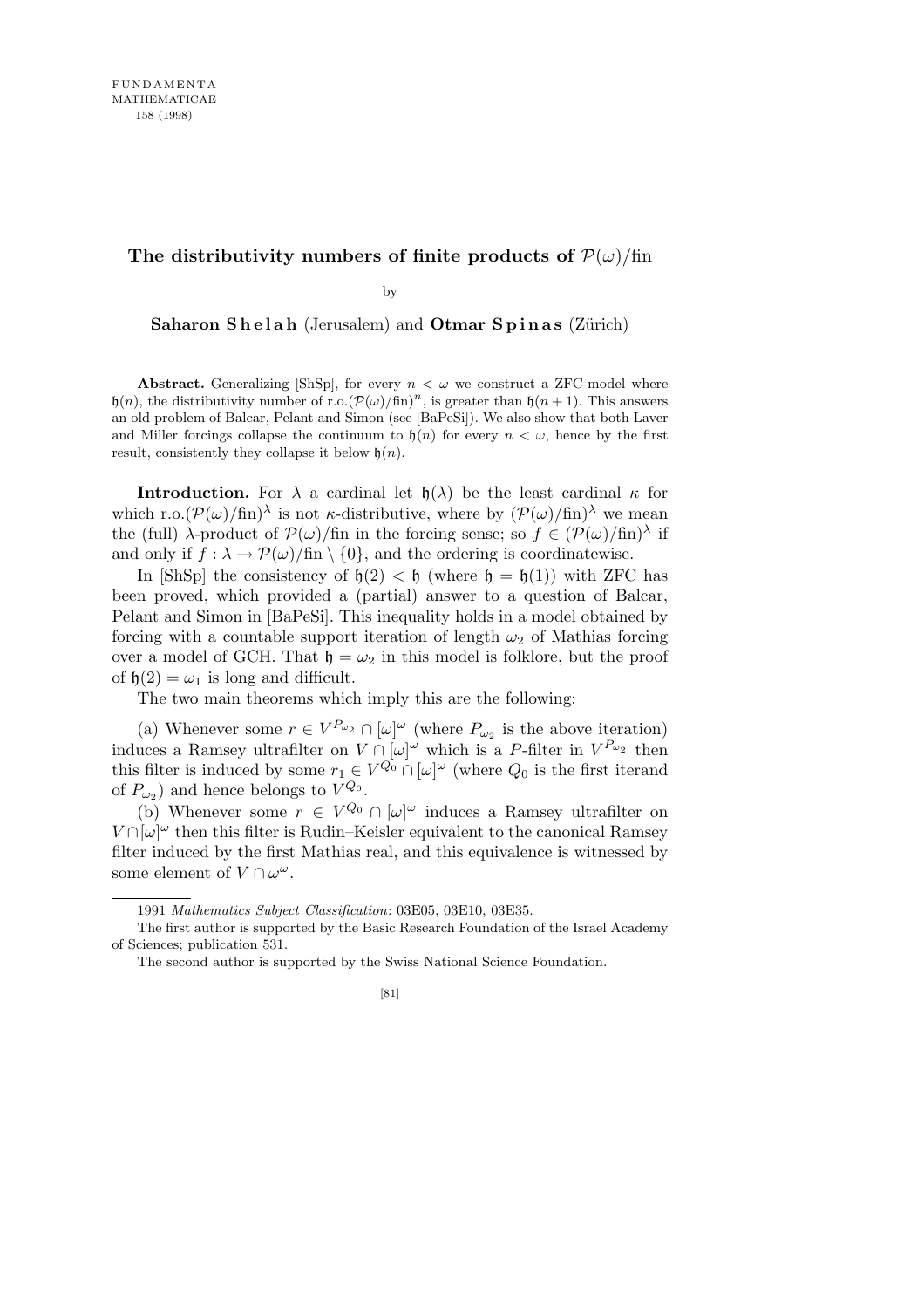## **The distributivity numbers of finite products of**  $P(\omega)/\text{fin}$

by

**Saharon Shelah** (Jerusalem) and **Otmar Spinas** (Zürich)

**Abstract.** Generalizing [ShSp], for every  $n < \omega$  we construct a ZFC-model where h(*n*), the distributivity number of r.o. $(\mathcal{P}(\omega)/\text{fin})^n$ , is greater than h(*n* + 1). This answers an old problem of Balcar, Pelant and Simon (see [BaPeSi]). We also show that both Laver and Miller forcings collapse the continuum to  $h(n)$  for every  $n < \omega$ , hence by the first result, consistently they collapse it below h(*n*).

**Introduction.** For  $\lambda$  a cardinal let  $\mathfrak{h}(\lambda)$  be the least cardinal  $\kappa$  for which r.o. $(\mathcal{P}(\omega)/\text{fin})^{\lambda}$  is not *κ*-distributive, where by  $(\mathcal{P}(\omega)/\text{fin})^{\lambda}$  we mean the (full)  $\lambda$ -product of  $\mathcal{P}(\omega)$ /fin in the forcing sense; so  $f \in (\mathcal{P}(\omega)/\text{fin})^{\lambda}$  if and only if  $f : \lambda \to \mathcal{P}(\omega)/\text{fin} \setminus \{0\}$ , and the ordering is coordinatewise.

In [ShSp] the consistency of  $h(2) < h$  (where  $h = h(1)$ ) with ZFC has been proved, which provided a (partial) answer to a question of Balcar, Pelant and Simon in [BaPeSi]. This inequality holds in a model obtained by forcing with a countable support iteration of length  $\omega_2$  of Mathias forcing over a model of GCH. That  $\mathfrak{h} = \omega_2$  in this model is folklore, but the proof of  $h(2) = \omega_1$  is long and difficult.

The two main theorems which imply this are the following:

(a) Whenever some  $r \in V^{P_{\omega_2}} \cap [\omega]^\omega$  (where  $P_{\omega_2}$  is the above iteration) induces a Ramsey ultrafilter on  $V \cap [\omega]^\omega$  which is a *P*-filter in  $V^{P_{\omega_2}}$  then this filter is induced by some  $r_1 \in V^{Q_0} \cap [\omega]^\omega$  (where  $Q_0$  is the first iterand of  $P_{\omega_2}$ ) and hence belongs to  $V^{Q_0}$ .

(b) Whenever some  $r \in V^{Q_0} \cap [\omega]^\omega$  induces a Ramsey ultrafilter on  $V \cap [\omega]^\omega$  then this filter is Rudin–Keisler equivalent to the canonical Ramsey filter induced by the first Mathias real, and this equivalence is witnessed by some element of  $V \cap \omega^{\omega}$ .

<sup>1991</sup> *Mathematics Subject Classification*: 03E05, 03E10, 03E35.

The first author is supported by the Basic Research Foundation of the Israel Academy of Sciences; publication 531.

The second author is supported by the Swiss National Science Foundation.

<sup>[81]</sup>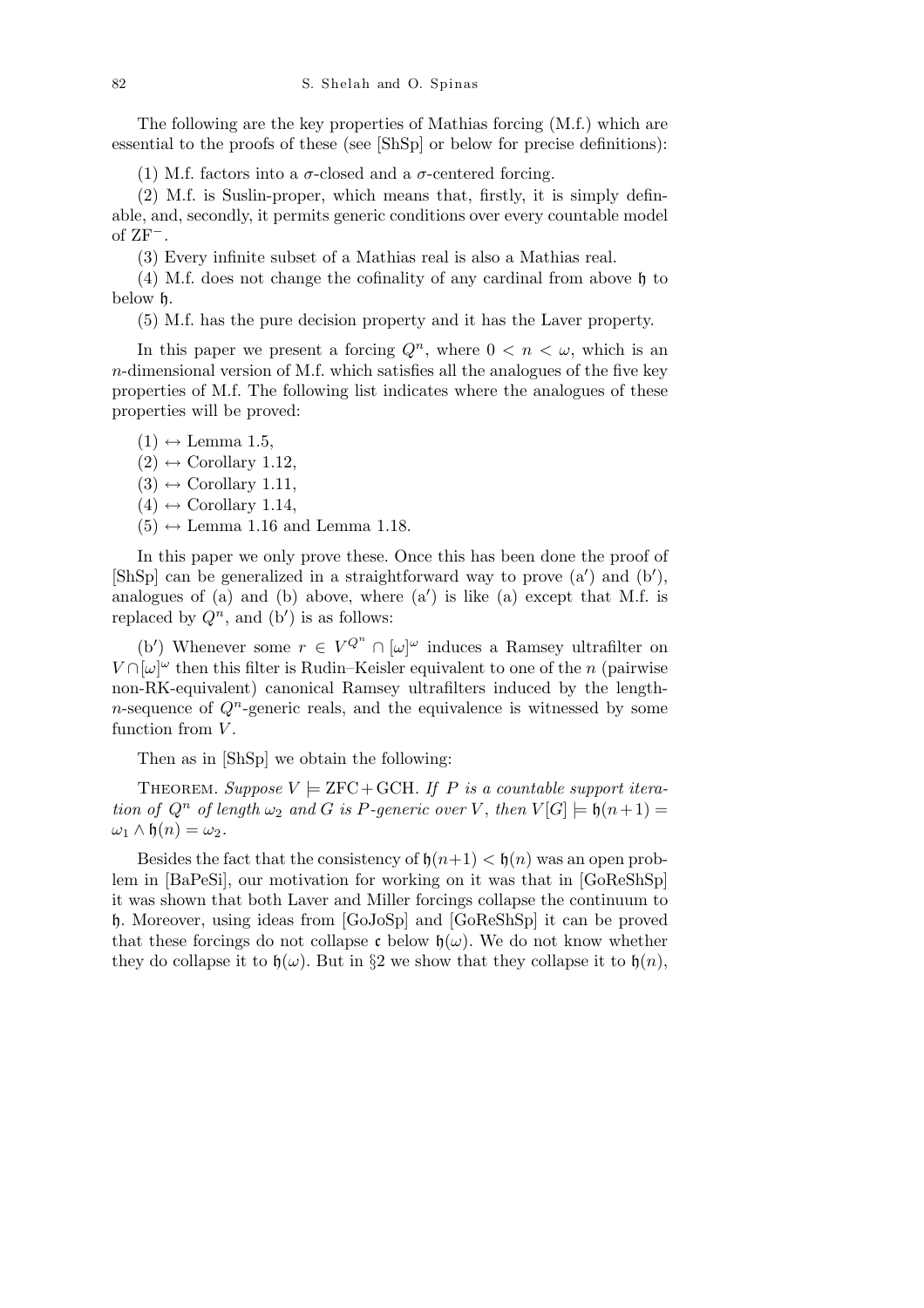The following are the key properties of Mathias forcing (M.f.) which are essential to the proofs of these (see [ShSp] or below for precise definitions):

(1) M.f. factors into a  $\sigma$ -closed and a  $\sigma$ -centered forcing.

(2) M.f. is Suslin-proper, which means that, firstly, it is simply definable, and, secondly, it permits generic conditions over every countable model of ZF*<sup>−</sup>*.

(3) Every infinite subset of a Mathias real is also a Mathias real.

(4) M.f. does not change the cofinality of any cardinal from above h to below h.

(5) M.f. has the pure decision property and it has the Laver property.

In this paper we present a forcing  $Q^n$ , where  $0 < n < \omega$ , which is an *n*-dimensional version of M.f. which satisfies all the analogues of the five key properties of M.f. The following list indicates where the analogues of these properties will be proved:

 $(1) \leftrightarrow$  Lemma 1.5,

 $(2) \leftrightarrow$  Corollary 1.12,

- $(3) \leftrightarrow$  Corollary 1.11,
- $(4) \leftrightarrow$  Corollary 1.14,
- $(5) \leftrightarrow$  Lemma 1.16 and Lemma 1.18.

In this paper we only prove these. Once this has been done the proof of [ShSp] can be generalized in a straightforward way to prove  $(a')$  and  $(b')$ , analogues of  $(a)$  and  $(b)$  above, where  $(a')$  is like  $(a)$  except that M.f. is replaced by  $Q^n$ , and (b') is as follows:

(b<sup>*i*</sup>) Whenever some  $r \in V^{Q^n} \cap [\omega]^{\omega}$  induces a Ramsey ultrafilter on  $V \cap [\omega]^\omega$  then this filter is Rudin–Keisler equivalent to one of the *n* (pairwise non-RK-equivalent) canonical Ramsey ultrafilters induced by the length*n*-sequence of  $Q^n$ -generic reals, and the equivalence is witnessed by some function from *V* .

Then as in [ShSp] we obtain the following:

THEOREM. *Suppose*  $V \models \text{ZFC} + \text{GCH}$ *. If P is a countable support iteration of*  $Q^n$  *of length*  $\omega_2$  *and G is P-generic over V*, *then*  $V[G] \models \mathfrak{h}(n+1) =$  $ω_1$  *∧*  $\mathfrak{h}(n) = ω_2$ .

Besides the fact that the consistency of  $h(n+1) < h(n)$  was an open problem in [BaPeSi], our motivation for working on it was that in [GoReShSp] it was shown that both Laver and Miller forcings collapse the continuum to h. Moreover, using ideas from [GoJoSp] and [GoReShSp] it can be proved that these forcings do not collapse c below  $\mathfrak{h}(\omega)$ . We do not know whether they do collapse it to  $\mathfrak{h}(\omega)$ . But in *§*2 we show that they collapse it to  $\mathfrak{h}(n)$ ,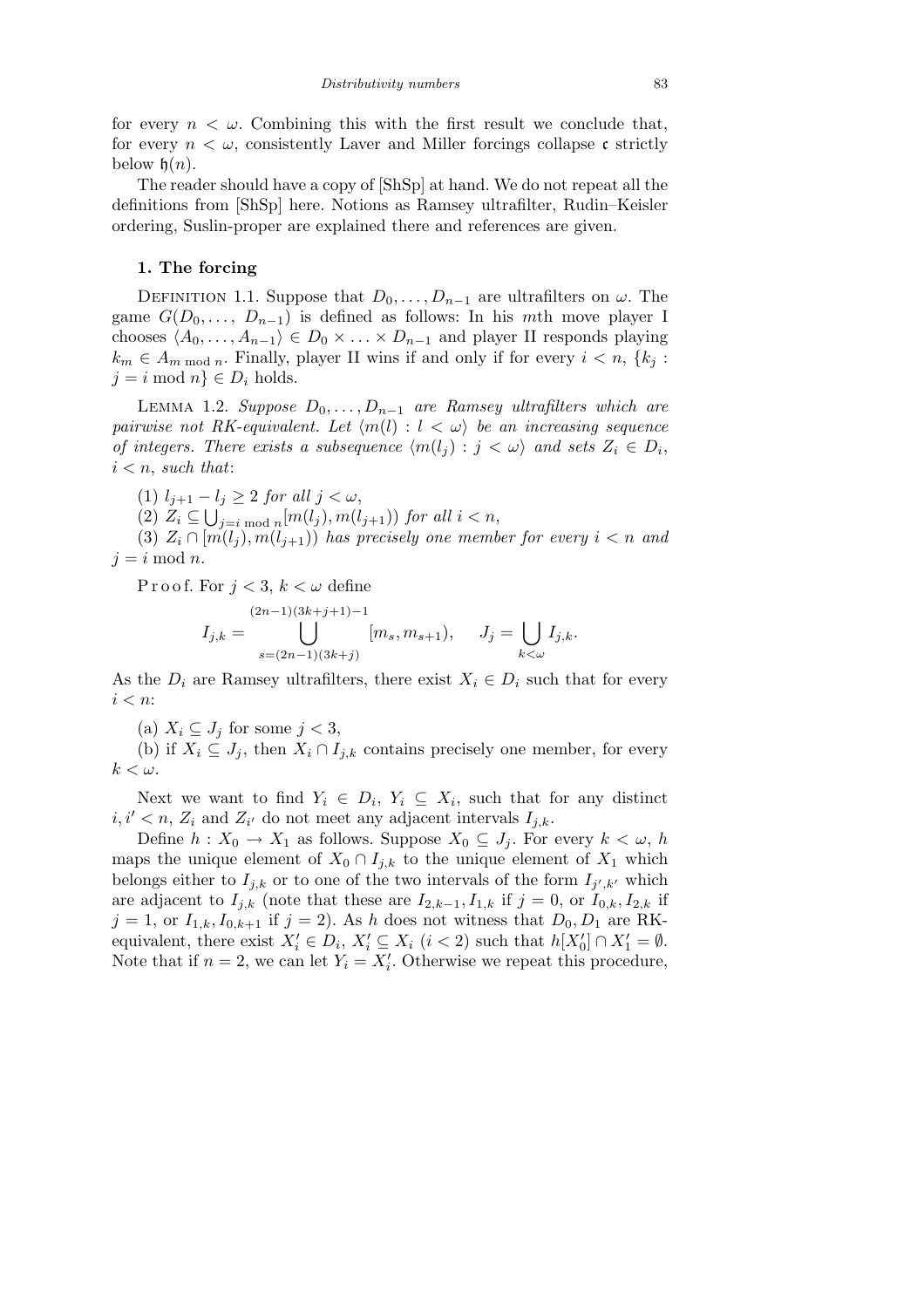for every  $n < \omega$ . Combining this with the first result we conclude that, for every  $n < \omega$ , consistently Laver and Miller forcings collapse c strictly below  $h(n)$ .

The reader should have a copy of [ShSp] at hand. We do not repeat all the definitions from [ShSp] here. Notions as Ramsey ultrafilter, Rudin–Keisler ordering, Suslin-proper are explained there and references are given.

## **1. The forcing**

DEFINITION 1.1. Suppose that  $D_0, \ldots, D_{n-1}$  are ultrafilters on  $\omega$ . The game  $G(D_0, \ldots, D_{n-1})$  is defined as follows: In his *mth* move player I chooses  $\langle A_0, \ldots, A_{n-1} \rangle \in D_0 \times \ldots \times D_{n-1}$  and player II responds playing  $k_m \in A_m$  mod *n*. Finally, player II wins if and only if for every  $i < n$ ,  $\{k_i :$  $j = i \mod n$   $\in D_i$  holds.

LEMMA 1.2. *Suppose*  $D_0, \ldots, D_{n-1}$  are Ramsey ultrafilters which are *pairwise not RK-equivalent. Let*  $\langle m(l) : l < \omega \rangle$  *be an increasing sequence of integers. There exists a subsequence*  $\langle m(l_j) : j < \omega \rangle$  *and sets*  $Z_i \in D_i$ , *i < n*, *such that*:

(1) *lj*+1 *− l<sup>j</sup> ≥* 2 *for all j < ω*, S

 $(2)$   $Z_i \subseteq \bigcup_{j=i \bmod n} [m(l_j), m(l_{j+1}))$  *for all*  $i < n$ ,

(3)  $Z_i \cap [m(l_i), m(l_{i+1}))$  has precisely one member for every  $i < n$  and  $j = i \mod n$ .

P r o o f. For  $j < 3$ ,  $k < \omega$  define

$$
I_{j,k} = \bigcup_{s=(2n-1)(3k+j)}^{(2n-1)(3k+j+1)-1} [m_s, m_{s+1}), \quad J_j = \bigcup_{k < \omega} I_{j,k}.
$$

As the  $D_i$  are Ramsey ultrafilters, there exist  $X_i \in D_i$  such that for every *i < n*:

(a)  $X_i \subseteq J_j$  for some  $j < 3$ ,

(b) if  $X_i \subseteq J_j$ , then  $X_i \cap I_{j,k}$  contains precisely one member, for every  $k < \omega$ .

Next we want to find  $Y_i \in D_i$ ,  $Y_i \subseteq X_i$ , such that for any distinct  $i, i' < n, Z_i$  and  $Z_{i'}$  do not meet any adjacent intervals  $I_{j,k}$ .

Define  $h: X_0 \to X_1$  as follows. Suppose  $X_0 \subseteq J_j$ . For every  $k < \omega$ , *h* maps the unique element of  $X_0 \cap I_{i,k}$  to the unique element of  $X_1$  which belongs either to  $I_{j,k}$  or to one of the two intervals of the form  $I_{j',k'}$  which are adjacent to  $I_{j,k}$  (note that these are  $I_{2,k-1}, I_{1,k}$  if  $j = 0$ , or  $I_{0,k}, I_{2,k}$  if  $j = 1$ , or  $I_{1,k}, I_{0,k+1}$  if  $j = 2$ ). As *h* does not witness that  $D_0, D_1$  are RKequivalent, there exist  $X_i' \in D_i$ ,  $X_i' \subseteq X_i$   $(i < 2)$  such that  $h[X_0'] \cap X_1' = \emptyset$ . Note that if  $n = 2$ , we can let  $Y_i = X'_i$ . Otherwise we repeat this procedure,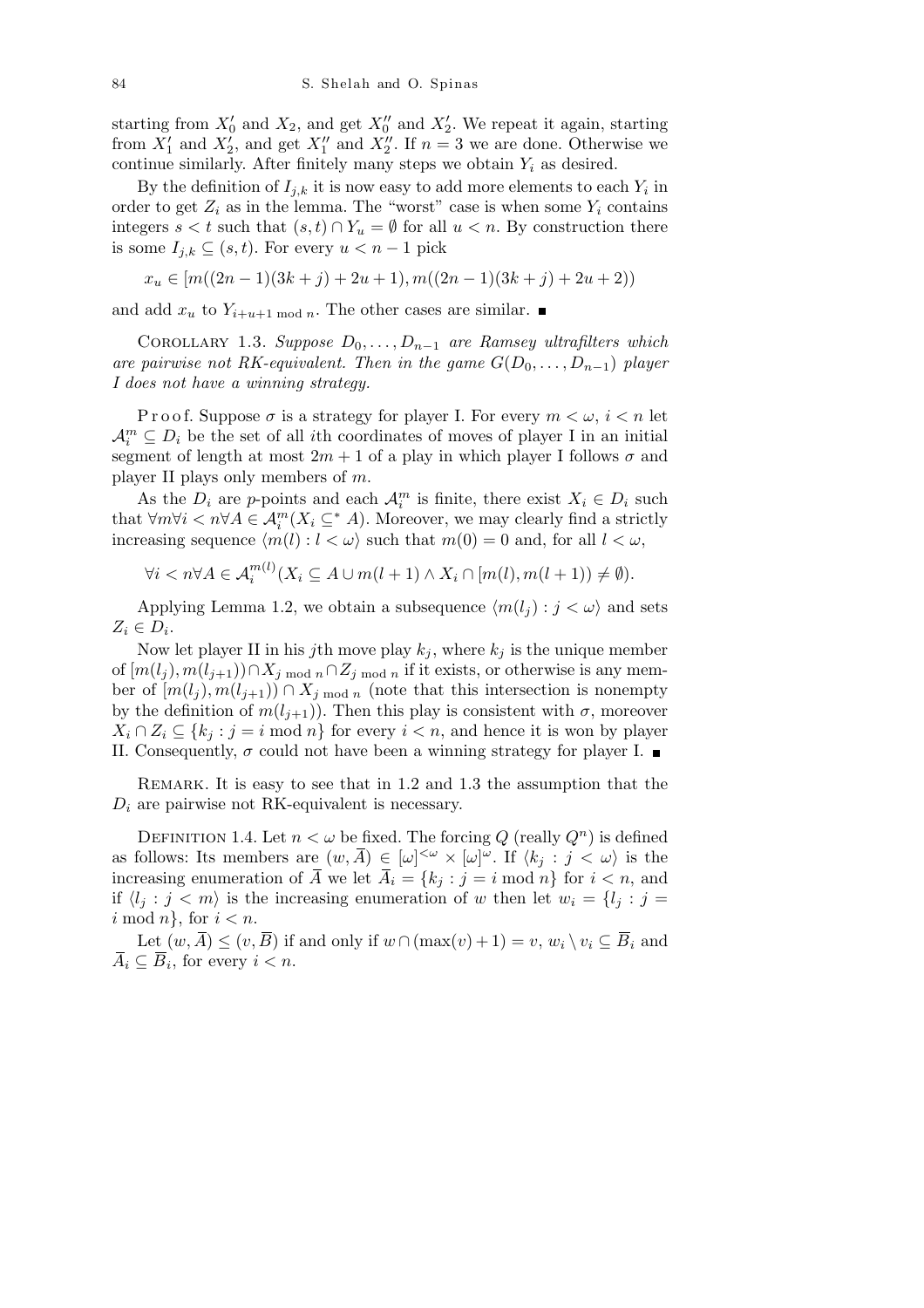starting from  $X'_0$  and  $X_2$ , and get  $X''_0$  and  $X'_2$ . We repeat it again, starting from  $X'_1$  and  $X'_2$ , and get  $X''_1$  and  $X''_2$ . If  $n=3$  we are done. Otherwise we continue similarly. After finitely many steps we obtain  $Y_i$  as desired.

By the definition of  $I_{j,k}$  it is now easy to add more elements to each  $Y_i$  in order to get  $Z_i$  as in the lemma. The "worst" case is when some  $Y_i$  contains integers  $s < t$  such that  $(s, t) \cap Y_u = \emptyset$  for all  $u < n$ . By construction there is some *Ij,k ⊆* (*s, t*). For every *u < n −* 1 pick

$$
x_u \in [m((2n-1)(3k+j)+2u+1), m((2n-1)(3k+j)+2u+2))
$$

and add  $x_u$  to  $Y_{i+u+1 \mod n}$ . The other cases are similar.

Corollary 1.3. *Suppose D*0*, . . . , Dn−*<sup>1</sup> *are Ramsey ultrafilters which are pairwise not RK-equivalent. Then in the game*  $G(D_0, \ldots, D_{n-1})$  *player I does not have a winning strategy.*

P r o o f. Suppose  $\sigma$  is a strategy for player I. For every  $m < \omega$ ,  $i < n$  let  $A_i^m \subseteq D_i$  be the set of all *i*th coordinates of moves of player I in an initial segment of length at most  $2m + 1$  of a play in which player I follows  $\sigma$  and player II plays only members of *m*.

As the  $D_i$  are *p*-points and each  $\mathcal{A}_i^m$  is finite, there exist  $X_i \in D_i$  such that  $\forall m \forall i \leq n \forall A \in \mathcal{A}_i^m(X_i \subseteq^* A)$ . Moreover, we may clearly find a strictly increasing sequence  $\langle m(l) : l < \omega \rangle$  such that  $m(0) = 0$  and, for all  $l < \omega$ ,

$$
\forall i < n \forall A \in \mathcal{A}_i^{m(l)}(X_i \subseteq A \cup m(l+1) \land X_i \cap [m(l), m(l+1)) \neq \emptyset).
$$

Applying Lemma 1.2, we obtain a subsequence  $\langle m(l_i) : j < \omega \rangle$  and sets  $Z_i \in D_i$ .

Now let player II in his *j*th move play  $k_j$ , where  $k_j$  is the unique member of  $[m(l_j), m(l_{j+1})) ∩ X_j$  mod  $n ∩ Z_j$  mod  $n$  if it exists, or otherwise is any member of  $[m(l_j), m(l_{j+1})) \cap X_{j \text{ mod } n}$  (note that this intersection is nonempty by the definition of  $m(l_{j+1})$ ). Then this play is consistent with  $\sigma$ , moreover  $X_i \cap Z_i \subseteq \{k_i : j = i \text{ mod } n\}$  for every  $i < n$ , and hence it is won by player II. Consequently,  $\sigma$  could not have been a winning strategy for player I.

Remark. It is easy to see that in 1.2 and 1.3 the assumption that the  $D_i$  are pairwise not RK-equivalent is necessary.

DEFINITION 1.4. Let  $n < \omega$  be fixed. The forcing Q (really  $Q^n$ ) is defined as follows: Its members are  $(w, \overline{A}) \in [\omega]^{<\omega} \times [\omega]^{w}$ . If  $\langle k_j : j < \omega \rangle$  is the increasing enumeration of  $\overline{A}$  we let  $\overline{A}_i = \{k_j : j = i \text{ mod } n\}$  for  $i < n$ , and if  $\langle l_j : j < m \rangle$  is the increasing enumeration of *w* then let  $w_i = \{l_j : j = j\}$ *i* mod *n}*, for *i < n*.

Let  $(w, \overline{A}) \le (v, \overline{B})$  if and only if  $w \cap (\max(v) + 1) = v$ ,  $w_i \setminus v_i \subseteq \overline{B}_i$  and  $\overline{A}_i \subseteq \overline{B}_i$ , for every  $i < n$ .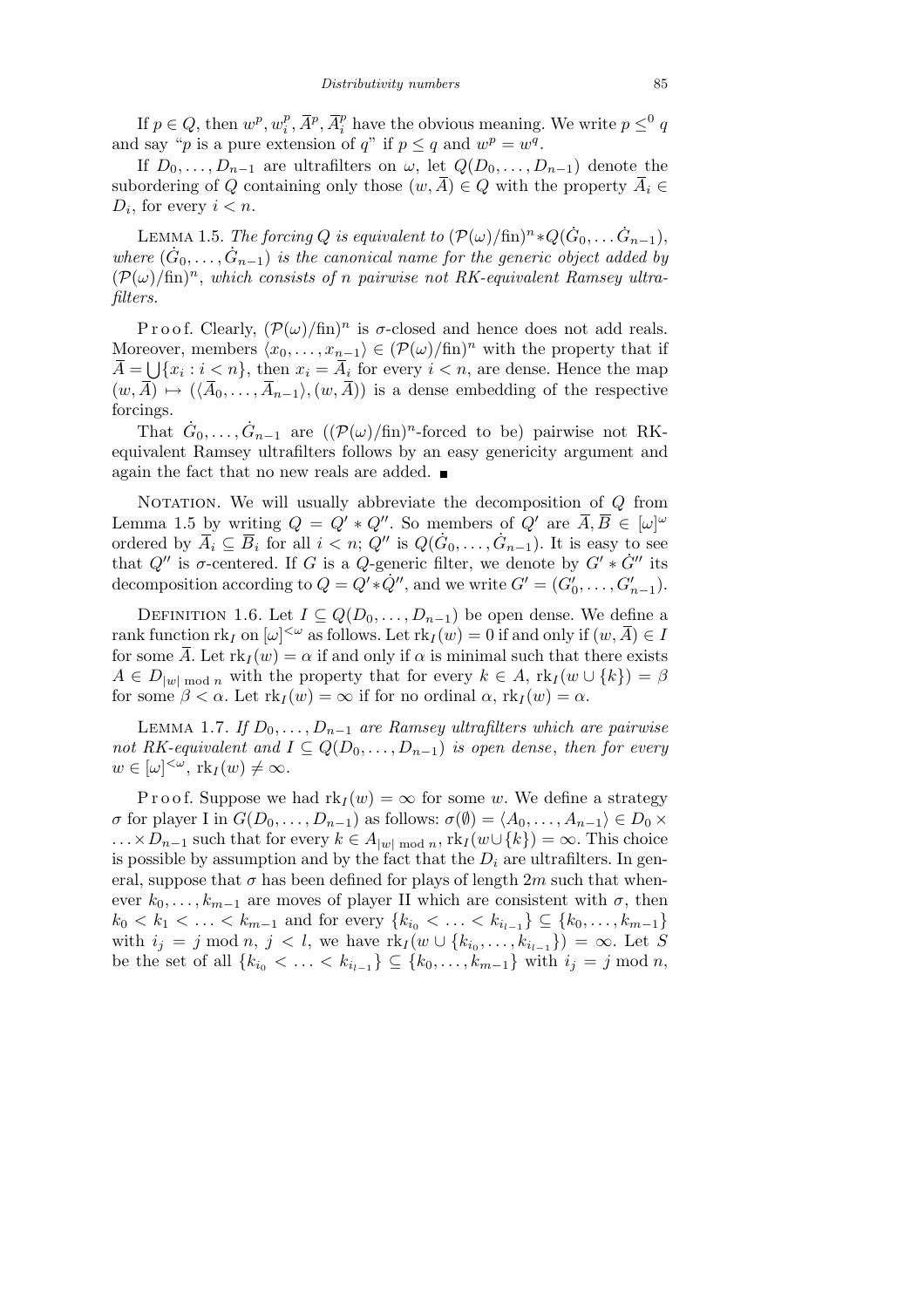If  $p \in Q$ , then  $w^p, w_i^p$  $\overline{A}^p$ ,  $\overline{A}^p$ ,  $\overline{A}^p_i$  have the obvious meaning. We write  $p \leq^0 q$ and say "*p* is a pure extension of *q*" if  $p \le q$  and  $w^p = w^q$ .

If  $D_0, \ldots, D_{n-1}$  are ultrafilters on  $\omega$ , let  $Q(D_0, \ldots, D_{n-1})$  denote the subordering of *Q* containing only those  $(w, \overline{A}) \in Q$  with the property  $\overline{A}_i \in$  $D_i$ , for every  $i < n$ .

LEMMA 1.5. *The forcing Q is equivalent to*  $(\mathcal{P}(\omega)/\text{fin})^n * Q(\dot{G}_0, \ldots, \dot{G}_{n-1}),$ where  $(\dot{G}_0, \ldots, \dot{G}_{n-1})$  is the canonical name for the generic object added by  $(\mathcal{P}(\omega)/\text{fin})^n$ , which consists of *n* pairwise not RK-equivalent Ramsey ultra*filters.*

Proof. Clearly,  $(\mathcal{P}(\omega)/\text{fin})^n$  is  $\sigma$ -closed and hence does not add reals. Moreover, members  $\langle x_0, \ldots, x_{n-1} \rangle \in (\mathcal{P}(\omega)/\text{fin})^n$  with the property that if  $\overline{A} = \bigcup \{x_i : i < n\}$ , then  $x_i = \overline{A}_i$  for every  $i < n$ , are dense. Hence the map  $(w, \overline{A}) \mapsto (\langle \overline{A}_0, \ldots, \overline{A}_{n-1} \rangle, (w, \overline{A}))$  is a dense embedding of the respective forcings.

That  $\dot{G}_0, \ldots, \dot{G}_{n-1}$  are  $((\mathcal{P}(\omega)/\text{fin})^n$ -forced to be) pairwise not RKequivalent Ramsey ultrafilters follows by an easy genericity argument and again the fact that no new reals are added.  $\blacksquare$ 

NOTATION. We will usually abbreviate the decomposition of *Q* from Lemma 1.5 by writing  $Q = Q' * Q''$ . So members of  $Q'$  are  $\overline{A}, \overline{B} \in [\omega]^{\omega}$ ordered by  $\overline{A}_i \subseteq \overline{B}_i$  for all  $i < n$ ;  $Q''$  is  $Q(\dot{G}_0, \ldots, \dot{G}_{n-1})$ . It is easy to see that  $Q''$  is  $\sigma$ -centered. If *G* is a  $Q$ -generic filter, we denote by  $G' * G''$  its decomposition according to  $Q = Q' * \dot{Q}'$ , and we write  $G' = (G'_0, \ldots, G'_{n-1})$ .

DEFINITION 1.6. Let  $I \subseteq Q(D_0, \ldots, D_{n-1})$  be open dense. We define a rank function  $\text{rk}_I$  on  $[\omega]^{<\omega}$  as follows. Let  $\text{rk}_I(w) = 0$  if and only if  $(w, \overline{A}) \in I$ for some  $\overline{A}$ . Let  $\text{rk}_I(w) = \alpha$  if and only if  $\alpha$  is minimal such that there exists  $A \in D_{|w| \bmod n}$  with the property that for every  $k \in A$ ,  $\text{rk}_I(w \cup \{k\}) = \beta$ for some  $\beta < \alpha$ . Let  $\text{rk}_I(w) = \infty$  if for no ordinal  $\alpha$ ,  $\text{rk}_I(w) = \alpha$ .

LEMMA 1.7. *If*  $D_0$ , ...,  $D_{n-1}$  *are Ramsey ultrafilters which are pairwise not RK-equivalent and*  $I \subseteq Q(D_0, \ldots, D_{n-1})$  *is open dense, then for every*  $w \in [\omega]^{<\omega}, \text{rk}_I(w) \neq \infty.$ 

P r o o f. Suppose we had  $\text{rk}_I(w) = \infty$  for some *w*. We define a strategy  $\sigma$  for player I in  $G(D_0, \ldots, D_{n-1})$  as follows:  $\sigma(\emptyset) = \langle A_0, \ldots, A_{n-1} \rangle \in D_0 \times$  $\ldots \times D_{n-1}$  such that for every  $k \in A_{|w| \bmod n}$ ,  $\text{rk}_I(w \cup \{k\}) = \infty$ . This choice is possible by assumption and by the fact that the  $D_i$  are ultrafilters. In general, suppose that  $\sigma$  has been defined for plays of length 2*m* such that whenever  $k_0, \ldots, k_{m-1}$  are moves of player II which are consistent with  $\sigma$ , then  $k_0 < k_1 < \ldots < k_{m-1}$  and for every  $\{k_{i_0} < \ldots < k_{i_{l-1}}\} \subseteq \{k_0, \ldots, k_{m-1}\}$ with  $i_j = j \mod n, j < l$ , we have  $\text{rk}_I(w \cup \{k_{i_0}, \ldots, k_{i_{l-1}}\}) = \infty$ . Let S be the set of all  ${k_{i_0} < ... < k_{i_{l-1}} \subseteq {k_0, ..., k_{m-1}}$  with  $i_j = j \mod n$ ,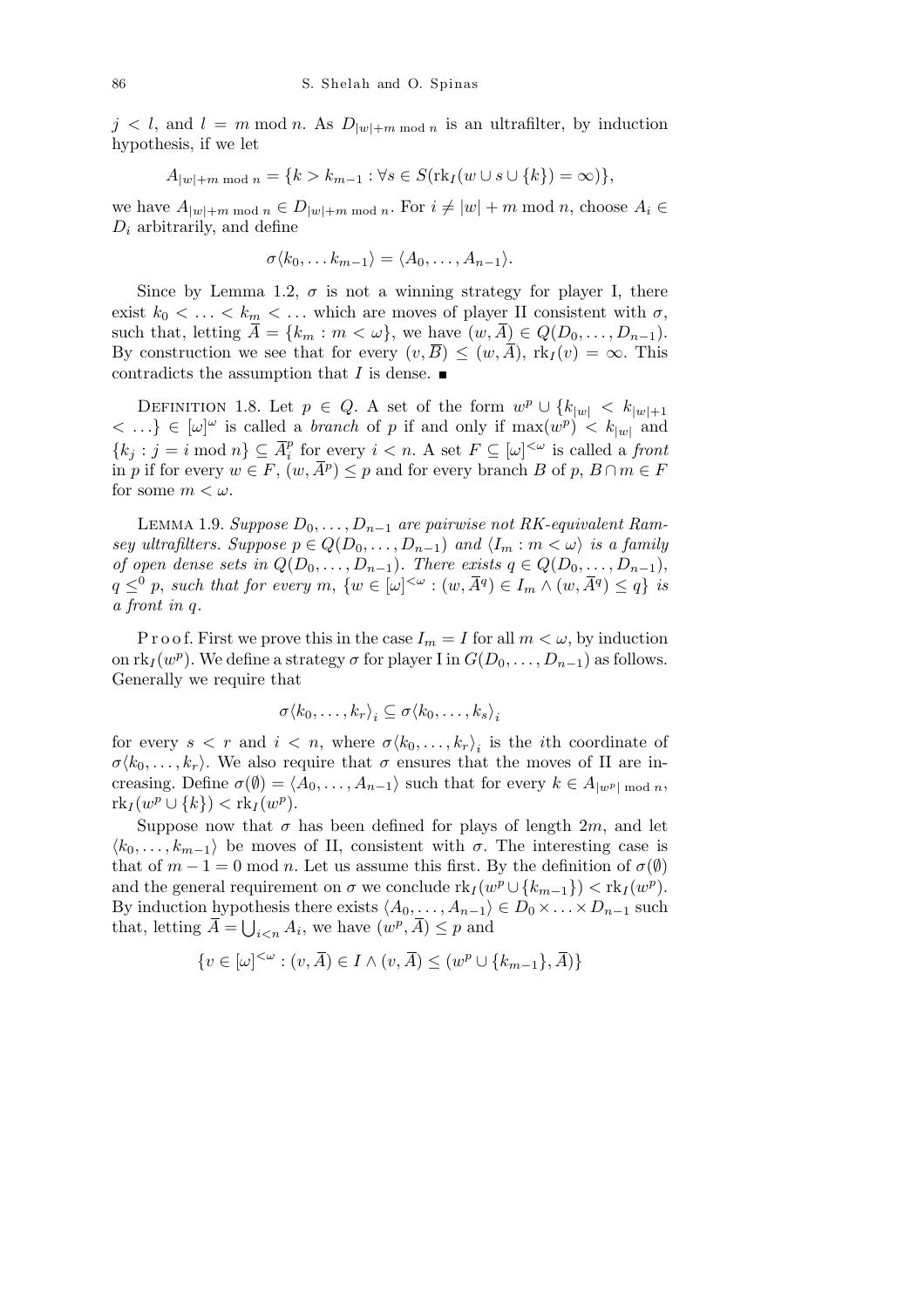$j < l$ , and  $l = m \mod n$ . As  $D_{|w|+m \mod n}$  is an ultrafilter, by induction hypothesis, if we let

$$
A_{|w|+m \bmod n} = \{k > k_{m-1} : \forall s \in S(\text{rk}_I(w \cup s \cup \{k\}) = \infty)\},\
$$

we have  $A_{|w|+m \bmod n} \in D_{|w|+m \bmod n}$ . For  $i \neq |w|+m \bmod n$ , choose  $A_i \in$  $D_i$  arbitrarily, and define

$$
\sigma \langle k_0, \ldots k_{m-1} \rangle = \langle A_0, \ldots, A_{n-1} \rangle.
$$

Since by Lemma 1.2,  $\sigma$  is not a winning strategy for player I, there exist  $k_0 < \ldots < k_m < \ldots$  which are moves of player II consistent with  $\sigma$ , such that, letting  $\bar{A} = \{k_m : m < \omega\}$ , we have  $(w, \bar{A}) \in Q(D_0, \ldots, D_{n-1})$ . By construction we see that for every  $(v, \overline{B}) \leq (w, \overline{A})$ ,  $\text{rk}_I(v) = \infty$ . This contradicts the assumption that *I* is dense.  $\blacksquare$ 

DEFINITION 1.8. Let  $p \in Q$ . A set of the form  $w^p \cup \{k_{|w|} < k_{|w|+1}\}$  $\langle \ldots \rangle \in [\omega]^{\omega}$  is called a *branch* of *p* if and only if max $(w^p) \langle k_{|w|}$  and  $\{k_j : j = i \text{ mod } n\} \subseteq \overline{A}_i^p$  $\sum_{i=1}^{p}$  for every  $i < n$ . A set  $F \subseteq [\omega]^{<\omega}$  is called a *front* in *p* if for every  $w \in F$ ,  $(w, \overline{A}^p) \leq p$  and for every branch *B* of *p*, *B* ∩ *m* ∈ *F* for some  $m < \omega$ .

LEMMA 1.9. *Suppose*  $D_0$ , . . . ,  $D_{n-1}$  *are pairwise not RK-equivalent Ramsey ultrafilters. Suppose*  $p \in Q(D_0, \ldots, D_{n-1})$  *and*  $\langle I_m : m \langle \omega \rangle$  *is a family of open dense sets in*  $Q(D_0, \ldots, D_{n-1})$ *. There exists*  $q \in Q(D_0, \ldots, D_{n-1})$ ,  $q \leq^0 p$ , such that for every  $m, \{w \in [\omega]^{<\omega} : (w, \overline{A}^q) \in I_m \wedge (w, \overline{A}^q) \leq q\}$  is *a front in q.*

P r o o f. First we prove this in the case  $I_m = I$  for all  $m < \omega$ , by induction on  $\text{rk}_I(w^p)$ . We define a strategy  $\sigma$  for player I in  $G(D_0, \ldots, D_{n-1})$  as follows. Generally we require that

$$
\sigma \langle k_0, \ldots, k_r \rangle_i \subseteq \sigma \langle k_0, \ldots, k_s \rangle_i
$$

for every  $s < r$  and  $i < n$ , where  $\sigma \langle k_0, \ldots, k_r \rangle_i$  is the *i*th coordinate of  $\sigma \langle k_0, \ldots, k_r \rangle$ . We also require that  $\sigma$  ensures that the moves of II are increasing. Define  $\sigma(\emptyset) = \langle A_0, \ldots, A_{n-1} \rangle$  such that for every  $k \in A_{|w^p| \bmod n}$ ,  $rk_I(w^p \cup \{k\}) < rk_I(w^p).$ 

Suppose now that  $\sigma$  has been defined for plays of length  $2m$ , and let  $\langle k_0, \ldots, k_{m-1} \rangle$  be moves of II, consistent with *σ*. The interesting case is that of  $m-1=0$  mod  $n$ . Let us assume this first. By the definition of  $\sigma(\emptyset)$ and the general requirement on  $\sigma$  we conclude  $\text{rk}_I(w^p \cup \{k_{m-1}\}) < \text{rk}_I(w^p)$ . By induction hypothesis there exists  $\langle A_0, \ldots, A_{n-1} \rangle \in D_0 \times \ldots \times D_{n-1}$  such that, letting  $\overline{A} = \bigcup_{i \leq n} A_i$ , we have  $(w^p, \overline{A}) \leq p$  and

$$
\{v\in[\omega]^{<\omega}:(v,\bar{A})\in I \wedge (v,\bar{A})\leq (w^p\cup\{k_{m-1}\},\bar{A})\}
$$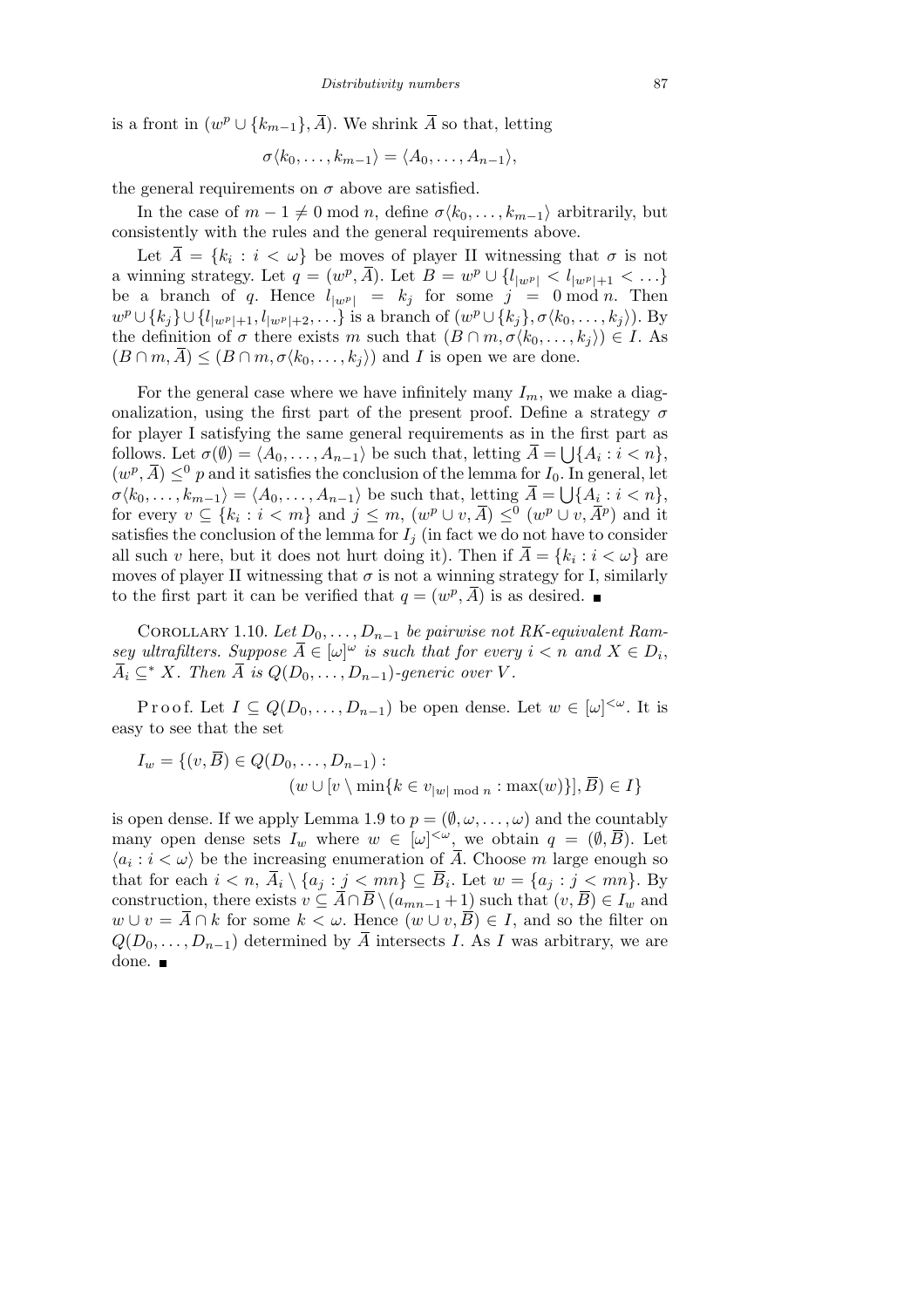is a front in  $(w^p \cup \{k_{m-1}\}, \overline{A})$ . We shrink  $\overline{A}$  so that, letting

$$
\sigma \langle k_0, \ldots, k_{m-1} \rangle = \langle A_0, \ldots, A_{n-1} \rangle,
$$

the general requirements on  $\sigma$  above are satisfied.

In the case of  $m-1 \neq 0 \text{ mod } n$ , define  $\sigma \langle k_0, \ldots, k_{m-1} \rangle$  arbitrarily, but consistently with the rules and the general requirements above.

Let  $\overline{A} = \{k_i : i < \omega\}$  be moves of player II witnessing that  $\sigma$  is not a winning strategy. Let  $q = (w^p, \overline{A})$ . Let  $B = w^p \cup \{l_{|w^p|} < l_{|w^p|+1} < \ldots\}$ be a branch of *q*. Hence  $l_{|w^p|} = k_j$  for some  $j = 0 \mod n$ . Then  $w^p \cup \{k_j\} \cup \{l_{|w^p|+1}, l_{|w^p|+2}, \ldots\}$  is a branch of  $(w^p \cup \{k_j\}, \sigma \langle k_0, \ldots, k_j \rangle)$ . By the definition of  $\sigma$  there exists *m* such that  $(B \cap m, \sigma \langle k_0, \ldots, k_i \rangle) \in I$ . As  $(B \cap m, \overline{A}) \leq (B \cap m, \sigma \langle k_0, \ldots, k_j \rangle)$  and *I* is open we are done.

For the general case where we have infinitely many  $I_m$ , we make a diagonalization, using the first part of the present proof. Define a strategy *σ* for player I satisfying the same general requirements as in the first part as  $\text{follows. Let } \sigma(\emptyset) = \langle A_0, \ldots, A_{n-1} \rangle \text{ be such that, letting } \overline{A} = \bigcup \{ A_i : i < n \},$  $(w^p, \overline{A}) \leq^0 p$  and it satisfies the conclusion of the lemma for  $I_0$ . In general, let  $\sigma \langle k_0, \ldots, k_{m-1} \rangle = \langle A_0, \ldots, A_{n-1} \rangle$  be such that, letting  $\overline{A} = \bigcup \{ A_i : i < n \},$ for every  $v \subseteq \{k_i : i < m\}$  and  $j \leq m$ ,  $(w^p \cup v, \overline{A}) \leq^0 (w^p \cup v, \overline{A}^p)$  and it satisfies the conclusion of the lemma for  $I_i$  (in fact we do not have to consider all such *v* here, but it does not hurt doing it). Then if  $\overline{A} = \{k_i : i < \omega\}$  are moves of player II witnessing that  $\sigma$  is not a winning strategy for I, similarly to the first part it can be verified that  $q = (w^p, \overline{A})$  is as desired.

COROLLARY 1.10. Let  $D_0, \ldots, D_{n-1}$  be pairwise not RK-equivalent Ram*sey ultrafilters. Suppose*  $\overline{A} \in [\omega]^{\omega}$  *is such that for every*  $i < n$  *and*  $X \in D_i$ ,  $\overline{A}_i \subseteq^* X$ . Then  $\overline{A}$  is  $Q(D_0, \ldots, D_{n-1})$ *-generic over*  $V$ .

Proof. Let  $I \subseteq Q(D_0, \ldots, D_{n-1})$  be open dense. Let  $w \in [\omega]^{<\omega}$ . It is easy to see that the set

$$
I_w = \{ (v, \overline{B}) \in Q(D_0, \dots, D_{n-1}) : (w \cup [v \setminus \min\{k \in v_{|w| \mod n} : \max(w)\}], \overline{B}) \in I \}
$$

is open dense. If we apply Lemma 1.9 to  $p = (\emptyset, \omega, \ldots, \omega)$  and the countably many open dense sets  $I_w$  where  $w \in [\omega]^{<\omega}$ , we obtain  $q = (\emptyset, \overline{B})$ . Let  $\langle a_i : i < \omega \rangle$  be the increasing enumeration of  $\overline{A}$ . Choose  $m$  large enough so that for each  $i < n$ ,  $\overline{A}_i \setminus \{a_j : j < mn\} \subseteq \overline{B}_i$ . Let  $w = \{a_j : j < mn\}$ . By construction, there exists  $v \subseteq \overline{A} \cap \overline{B} \setminus (a_{mn-1}+1)$  such that  $(v, \overline{B}) \in I_w$  and *w* ∪ *v* =  $\overline{A}$  ∩ *k* for some  $k < \omega$ . Hence  $(w \cup v, \overline{B}) \in I$ , and so the filter on  $Q(D_0, \ldots, D_{n-1})$  determined by *A* intersects *I*. As *I* was arbitrary, we are done.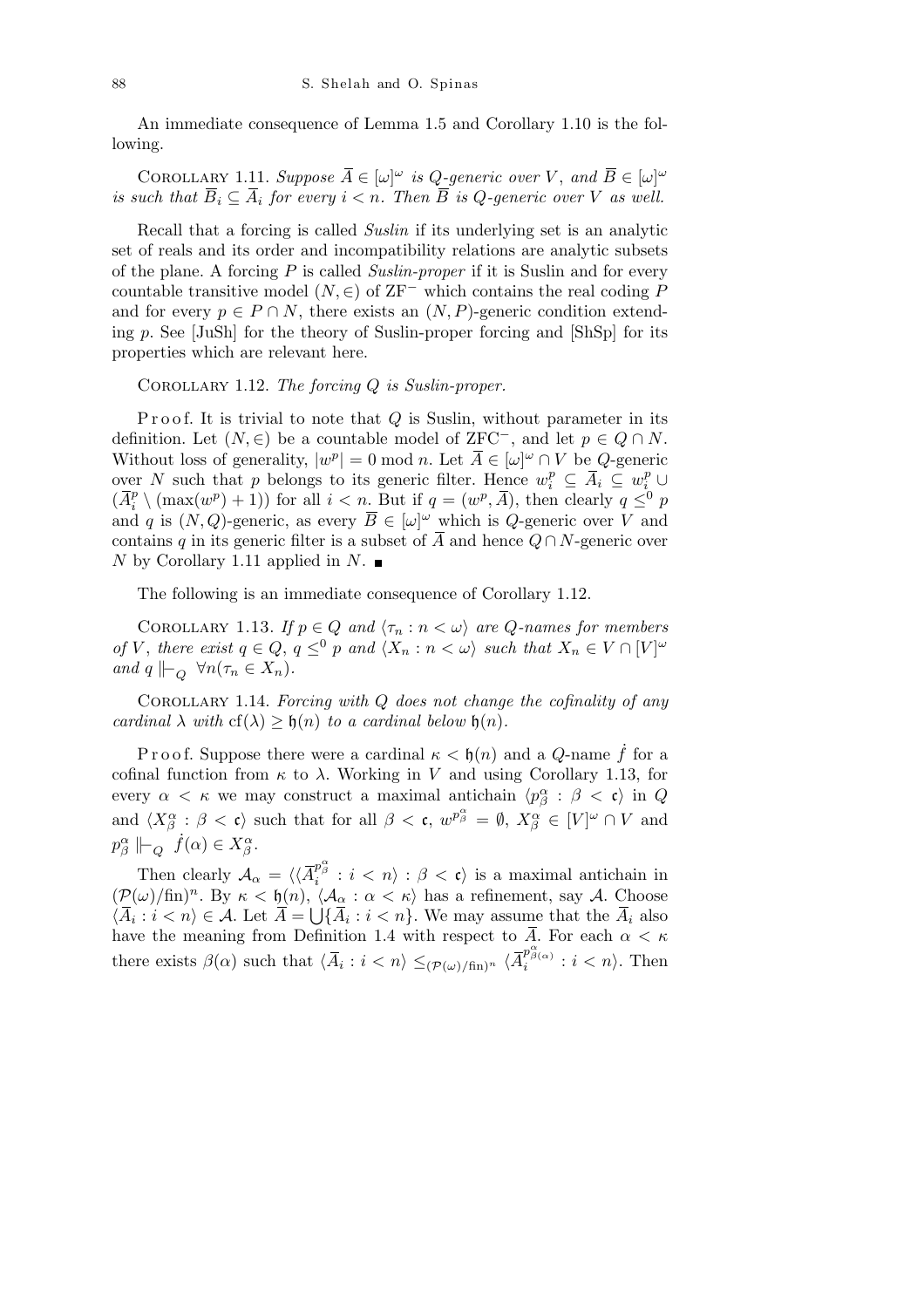An immediate consequence of Lemma 1.5 and Corollary 1.10 is the following.

COROLLARY 1.11. *Suppose*  $\overline{A} \in [\omega]^{\omega}$  *is Q-generic over V*, and  $\overline{B} \in [\omega]^{\omega}$ *is such that*  $\overline{B}_i \subseteq \overline{A}_i$  for every  $i < n$ . Then  $\overline{B}$  *is Q*-generic over *V as well.* 

Recall that a forcing is called *Suslin* if its underlying set is an analytic set of reals and its order and incompatibility relations are analytic subsets of the plane. A forcing *P* is called *Suslin-proper* if it is Suslin and for every countable transitive model  $(N, \in)$  of ZF<sup>−</sup> which contains the real coding *P* and for every  $p \in P \cap N$ , there exists an  $(N, P)$ -generic condition extending *p*. See [JuSh] for the theory of Suslin-proper forcing and [ShSp] for its properties which are relevant here.

Corollary 1.12. *The forcing Q is Suslin-proper.*

P r o o f. It is trivial to note that *Q* is Suslin, without parameter in its definition. Let  $(N, \in)$  be a countable model of ZFC<sup>−</sup>, and let  $p \in Q \cap N$ . Without loss of generality,  $|w^p| = 0 \text{ mod } n$ . Let  $\overline{A} \in |\omega|^{\omega} \cap V$  be *Q*-generic over *N* such that *p* belongs to its generic filter. Hence  $w_i^p \subseteq \overline{A}_i \subseteq w_i^p \cup$  $(\bar{A}_i^p)$  $\binom{p}{i}$  (max(*w*<sup>*p*</sup>) + 1)) for all *i* < *n*. But if *q* = (*w*<sup>*p*</sup>,  $\overline{A}$ ), then clearly *q*  $\leq$ <sup>0</sup> *p* and *q* is  $(N, Q)$ -generic, as every  $\overline{B} \in [\omega]^{\omega}$  which is *Q*-generic over *V* and contains *q* in its generic filter is a subset of  $\overline{A}$  and hence  $Q \cap N$ -generic over *N* by Corollary 1.11 applied in *N*.

The following is an immediate consequence of Corollary 1.12.

COROLLARY 1.13. *If*  $p \in Q$  *and*  $\langle \tau_n : n < \omega \rangle$  *are Q*-names for members of V, there exist  $q \in Q$ ,  $q \leq^0 p$  and  $\langle X_n : n < \omega \rangle$  such that  $X_n \in V \cap [V]^{\omega}$ *and*  $q \Vdash_{\mathcal{O}} \forall n(\tau_n \in X_n)$ *.* 

Corollary 1.14. *Forcing with Q does not change the cofinality of any cardinal*  $\lambda$  *with*  $cf(\lambda) \geq \mathfrak{h}(n)$  *to a cardinal below*  $\mathfrak{h}(n)$ *.* 

P r o o f. Suppose there were a cardinal  $\kappa < \mathfrak{h}(n)$  and a *Q*-name  $\dot{f}$  for a cofinal function from  $\kappa$  to  $\lambda$ . Working in *V* and using Corollary 1.13, for every  $\alpha < \kappa$  we may construct a maximal antichain  $\langle p^{\alpha}_{\beta} : \beta < \mathfrak{c} \rangle$  in  $Q$ and  $\langle X^{\alpha}_{\beta} : \beta \langle \mathbf{c} \rangle$  such that for all  $\beta \langle \mathbf{c}, w^{p^{\alpha}_{\beta}} = \emptyset, X^{\alpha}_{\beta} \in [V]^{\omega} \cap V$  and  $p^{\alpha}_{\beta} \Vdash_{Q} f(\alpha) \in X^{\alpha}_{\beta}$ .

Then clearly  $A_{\alpha} = \langle \langle \overline{A}_{i}^{p_{\beta}^{\alpha}} : i < n \rangle : \beta < \mathfrak{c} \rangle$  is a maximal antichain in  $(\mathcal{P}(\omega)/\text{fin})^n$ . By  $\kappa < \mathfrak{h}(n)$ ,  $\langle \mathcal{A}_{\alpha} : \alpha < \kappa \rangle$  has a refinement, say A. Choose  $\langle \overline{A}_i : i < n \rangle \in \mathcal{A}$ . Let  $\overline{A} =$  $\mathcal{S}$  $\{\overline{A}_i : i < n\}$ . We may assume that the  $\overline{A}_i$  also have the meaning from Definition 1.4 with respect to *A*. For each *α < κ* there exists  $\beta(\alpha)$  such that  $\langle \overline{A}_i : i < n \rangle \leq (\mathcal{P}(\omega)/\text{fin})^n \langle \overline{A}_i^{\mathcal{P}^{\alpha}_{\beta}(\alpha)} : i < n \rangle$ . Then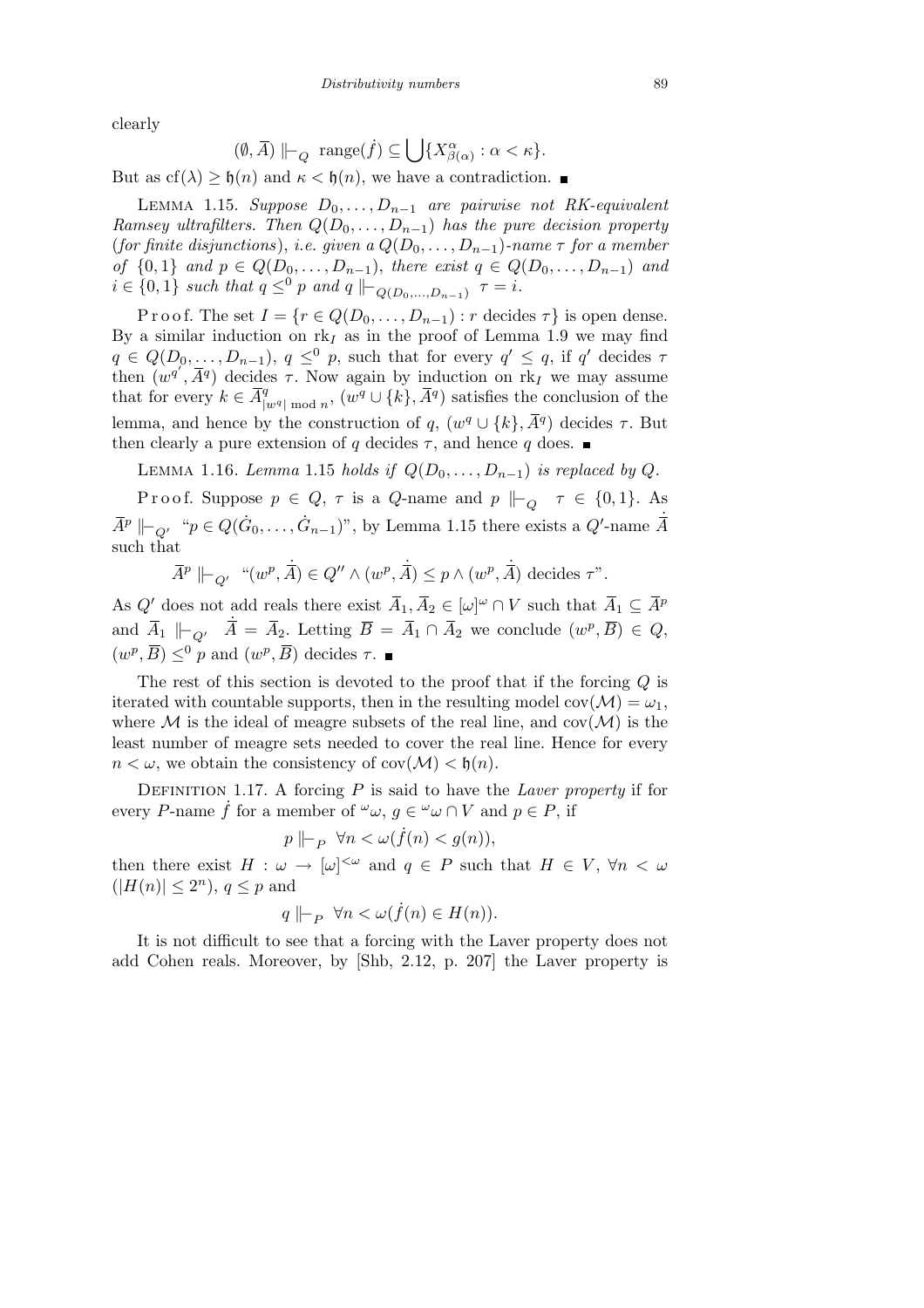clearly

$$
(\emptyset, \overline{A}) \Vdash_Q \text{range}(\dot{f}) \subseteq \bigcup \{ X_{\beta(\alpha)}^{\alpha} : \alpha < \kappa \}.
$$

But as  $cf(\lambda) \geq \mathfrak{h}(n)$  and  $\kappa < \mathfrak{h}(n)$ , we have a contradiction.

LEMMA 1.15. *Suppose*  $D_0$ , ...,  $D_{n-1}$  are pairwise not RK-equivalent *Ramsey ultrafilters. Then*  $Q(D_0, \ldots, D_{n-1})$  *has the pure decision property* (*for finite disjunctions*), *i.e. given a*  $Q(D_0, \ldots, D_{n-1})$ *-name*  $\tau$  *for a member* of  $\{0,1\}$  and  $p \in Q(D_0, ..., D_{n-1})$ , there exist  $q \in Q(D_0, ..., D_{n-1})$  and  $i \in \{0, 1\}$  *such that*  $q \leq^0 p$  *and*  $q \Vdash_{Q(D_0, ..., D_{n-1})} \tau = i$ *.* 

P r o o f. The set  $I = \{r \in Q(D_0, \ldots, D_{n-1}) : r \text{ decides } \tau\}$  is open dense. By a similar induction on  $rk_I$  as in the proof of Lemma 1.9 we may find  $q \in Q(D_0, \ldots, D_{n-1}), q \leq^0 p$ , such that for every  $q' \leq q$ , if  $q'$  decides  $\tau$ then  $(w^{q'}, \bar{A}^q)$  decides  $\tau$ . Now again by induction on rk<sub>I</sub> we may assume that for every  $k \in \overline{A}_{l}^q$  $\frac{q}{|w^q| \bmod n}$ ,  $(w^q ∪ \{k\}, \overline{A}^q)$  satisfies the conclusion of the lemma, and hence by the construction of  $q$ ,  $(w<sup>q</sup> \cup \{k\}, \overline{A}<sup>q</sup>)$  decides  $\tau$ . But then clearly a pure extension of *q* decides  $\tau$ , and hence *q* does.

LEMMA 1.16. *Lemma* 1.15 *holds if*  $Q(D_0, \ldots, D_{n-1})$  *is replaced by*  $Q$ *.* 

Proof. Suppose  $p \in Q$ ,  $\tau$  is a *Q*-name and  $p \not\mid_{Q} \tau \in \{0,1\}$ . As  $\overline{A}^p \Vdash_{Q'} \text{``} p \in Q(\dot{G}_0, \ldots, \dot{G}_{n-1})$ ", by Lemma 1.15 there exists a *Q*'-name  $\dot{\overline{A}}$ such that

$$
\overline{A}^{p} \Vdash_{Q'} \text{``}(w^p, \dot{\overline{A}}) \in Q'' \land (w^p, \dot{\overline{A}}) \leq p \land (w^p, \dot{\overline{A}}) \text{ decides } \tau".
$$

As  $Q'$  does not add reals there exist  $\overline{A}_1, \overline{A}_2 \in [\omega]^\omega \cap V$  such that  $\overline{A}_1 \subseteq \overline{A}^p$ and  $\overline{A}_1 \Vdash_{Q'} \overline{A} = \overline{A}_2$ . Letting  $\overline{B} = \overline{A}_1 \cap \overline{A}_2$  we conclude  $(w^p, \overline{B}) \in Q$ ,  $(w^p, \overline{B}) \leq^0 p$  and  $(w^p, \overline{B})$  decides  $\tau$ .

The rest of this section is devoted to the proof that if the forcing *Q* is iterated with countable supports, then in the resulting model  $cov(\mathcal{M}) = \omega_1$ , where  $M$  is the ideal of meagre subsets of the real line, and  $cov(M)$  is the least number of meagre sets needed to cover the real line. Hence for every  $n < \omega$ , we obtain the consistency of cov $(\mathcal{M}) < \mathfrak{h}(n)$ .

DEFINITION 1.17. A forcing  $P$  is said to have the *Laver property* if for every *P*-name  $\dot{f}$  for a member of  $\omega$ ,  $g \in \omega$   $\omega \cap V$  and  $p \in P$ , if

$$
p \mid_{P} \forall n < \omega(f(n) < g(n)),
$$

then there exist  $H: \omega \to [\omega]^{<\omega}$  and  $q \in P$  such that  $H \in V$ ,  $\forall n < \omega$  $(|H(n)| \leq 2^n)$ ,  $q \leq p$  and

$$
q \Vdash_{P} \forall n < \omega(f(n) \in H(n)).
$$

It is not difficult to see that a forcing with the Laver property does not add Cohen reals. Moreover, by [Shb, 2.12, p. 207] the Laver property is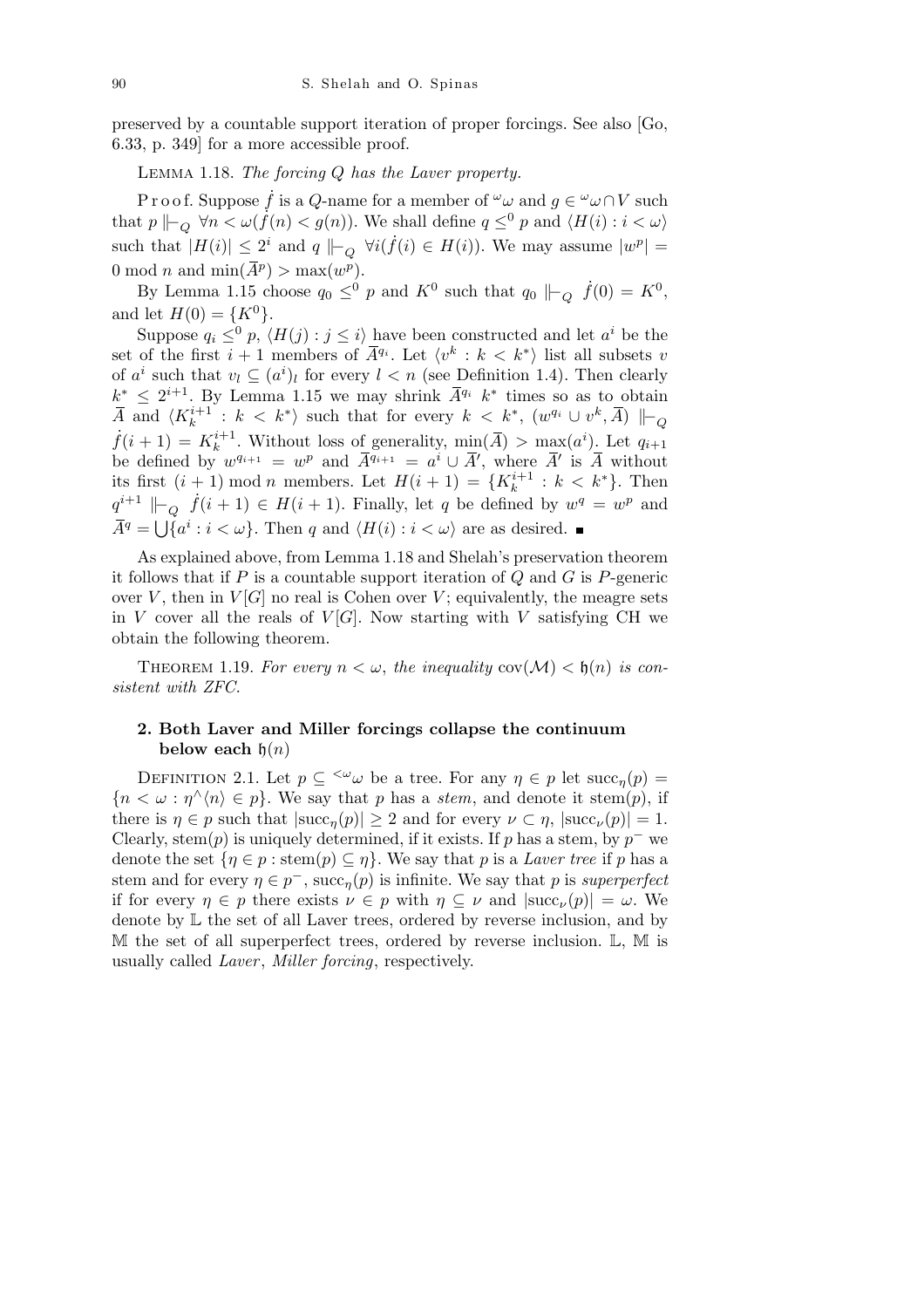preserved by a countable support iteration of proper forcings. See also [Go, 6.33, p. 349] for a more accessible proof.

Lemma 1.18. *The forcing Q has the Laver property.*

P r o o f. Suppose  $\dot{f}$  is a *Q*-name for a member of  $\omega$  and  $g \in \omega$   $\omega \cap V$  such that  $p \Vdash_{Q} \forall n \lt \omega(\check{f}(n) \lt g(n))$ . We shall define  $q \leq^{0} p$  and  $\langle H(i) : i \lt \omega \rangle$ such that  $|H(i)| \leq 2^i$  and  $q \not\mid_{\mathcal{L}_Q} \forall i (\dot{f}(i) \in H(i))$ . We may assume  $|w^p| =$ 0 mod *n* and  $\min(\overline{A}^p) > \max(w^p)$ .

By Lemma 1.15 choose  $q_0 \leq^0 p$  and  $K^0$  such that  $q_0 \Vdash_Q \dot{f}(0) = K^0$ , and let  $H(0) = \{K^0\}.$ 

Suppose  $q_i \leq^0 p$ ,  $\langle H(j) : j \leq i \rangle$  have been constructed and let  $a^i$  be the set of the first  $i + 1$  members of  $\overline{A}^{q_i}$ . Let  $\langle v^k : k \leq k^* \rangle$  list all subsets *v* of  $a^i$  such that  $v_l \subseteq (a^i)_l$  for every  $l < n$  (see Definition 1.4). Then clearly  $k^* \leq 2^{i+1}$ . By Lemma 1.15 we may shrink  $\bar{A}^{q_i}$   $k^*$  times so as to obtain  $\overline{A}$  and  $\langle K_k^{i+1} : k \leq k^* \rangle$  such that for every  $k \leq k^*$ ,  $(w^{q_i} \cup v^k, \overline{A}) \Vdash_Q$  $\dot{f}(i+1) = K_k^{i+1}$ . Without loss of generality,  $\min(\overline{A}) > \max(a^i)$ . Let  $q_{i+1}$ be defined by  $w^{q_{i+1}} = w^p$  and  $\overline{A}^{q_{i+1}} = a^i \cup \overline{A}'$ , where  $\overline{A}'$  is  $\overline{A}$  without its first  $(i + 1) \text{ mod } n$  members. Let  $H(i + 1) = \{K_k^{i+1} : k < k^*\}$ . Then  $q^{i+1}$   $\vert \vert_{Q}$   $\dot{f}(i+1) \in H(i+1)$ . Finally, let *q* be defined by  $w^q = w^p$  and  $\overline{A}^q = \bigcup \{ a^i : i < \omega \}.$  Then *q* and  $\langle H(i) : i < \omega \rangle$  are as desired.

As explained above, from Lemma 1.18 and Shelah's preservation theorem it follows that if *P* is a countable support iteration of *Q* and *G* is *P*-generic over  $V$ , then in  $V[G]$  no real is Cohen over  $V$ ; equivalently, the meagre sets in *V* cover all the reals of  $V[G]$ . Now starting with *V* satisfying CH we obtain the following theorem.

THEOREM 1.19. For every  $n < \omega$ , the inequality  $cov(\mathcal{M}) < \mathfrak{h}(n)$  is con*sistent with ZFC.*

## **2. Both Laver and Miller forcings collapse the continuum below each**  $h(n)$

DEFINITION 2.1. Let  $p \subseteq \langle \omega \rangle$  be a tree. For any  $\eta \in p$  let  $succ_n(p)$  ${n < \omega : \eta^{\wedge}(n) \in p}$ . We say that *p* has a *stem*, and denote it stem(*p*), if there is  $\eta \in p$  such that  $|\text{succ}_n(p)| \geq 2$  and for every  $\nu \subset \eta$ ,  $|\text{succ}_\nu(p)| = 1$ . Clearly, stem(*p*) is uniquely determined, if it exists. If *p* has a stem, by  $p^-$  we denote the set  $\{\eta \in p : \operatorname{stem}(p) \subseteq \eta\}$ . We say that *p* is a *Laver tree* if *p* has a stem and for every  $\eta \in p^-$ , succ<sub> $\eta(p)$ </sub> is infinite. We say that *p* is *superperfect* if for every  $\eta \in p$  there exists  $\nu \in p$  with  $\eta \subseteq \nu$  and  $|\text{succ}_{\nu}(p)| = \omega$ . We denote by  $\mathbb L$  the set of all Laver trees, ordered by reverse inclusion, and by M the set of all superperfect trees, ordered by reverse inclusion. L, M is usually called *Laver* , *Miller forcing*, respectively.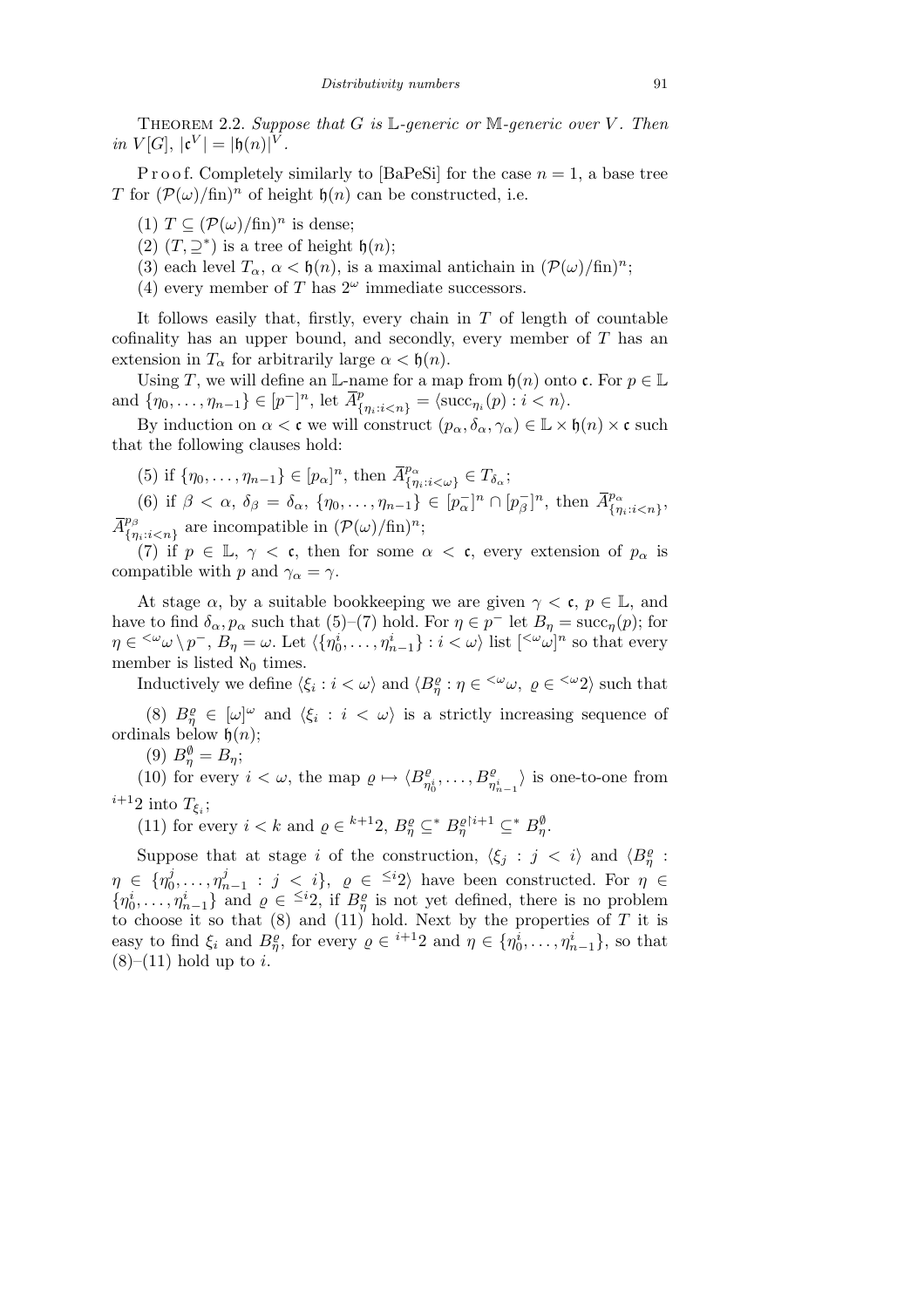Theorem 2.2. *Suppose that G is* L*-generic or* M*-generic over V . Then*  $in V[G], |c^V| = |b(n)|^V$ .

P r o o f. Completely similarly to  $\left[\text{BaPeSi}\right]$  for the case  $n = 1$ , a base tree *T* for  $(\mathcal{P}(\omega)/\text{fin})^n$  of height  $\mathfrak{h}(n)$  can be constructed, i.e.

(1)  $T \subseteq (\mathcal{P}(\omega)/\text{fin})^n$  is dense:

(2)  $(T, \supseteq^*)$  is a tree of height  $\mathfrak{h}(n)$ ;

(3) each level  $T_\alpha$ ,  $\alpha < \mathfrak{h}(n)$ , is a maximal antichain in  $(\mathcal{P}(\omega)/\text{fin})^n$ ;

(4) every member of *T* has  $2^{\omega}$  immediate successors.

It follows easily that, firstly, every chain in *T* of length of countable cofinality has an upper bound, and secondly, every member of *T* has an extension in  $T_\alpha$  for arbitrarily large  $\alpha < \mathfrak{h}(n)$ .

Using *T*, we will define an L-name for a map from  $\mathfrak{h}(n)$  onto  $\mathfrak{c}$ . For  $p \in \mathbb{L}$ and  $\{\eta_0, \ldots, \eta_{n-1}\} \in [p^-]^n$ , let  $\bar{A}^p_{\{\eta_i : i < n\}} = \langle \mathrm{succ}_{\eta_i}(p) : i < n \rangle$ .

By induction on  $\alpha < \mathfrak{c}$  we will construct  $(p_{\alpha}, \delta_{\alpha}, \gamma_{\alpha}) \in \mathbb{L} \times \mathfrak{h}(n) \times \mathfrak{c}$  such that the following clauses hold:

(5) if  $\{\eta_0, \ldots, \eta_{n-1}\} \in [p_\alpha]^n$ , then  $\bar{A}^{p_\alpha}_{\{n\}}$  $\{P^{\alpha}_{\eta_i:i<\omega\}} \in T_{\delta_{\alpha}};$ 

(6) if  $\beta < \alpha$ ,  $\delta_{\beta} = \delta_{\alpha}$ ,  $\{\eta_0, \ldots, \eta_{n-1}\} \in [p_{\alpha}^{-}]^n \cap [p_{\beta}^{-}]^n$ , then  $\bar{A}^{p_{\alpha}}_{\{\eta\}}$ *{ηi*:*i<n}* ,  $\overline{A}^{p_{\beta}}_{f_n}$  $\{n_i : i < n\}$  are incompatible in  $(\mathcal{P}(\omega)/\text{fin})^n$ ;

(7) if  $p \in \mathbb{L}, \gamma < \mathfrak{c}$ , then for some  $\alpha < \mathfrak{c}$ , every extension of  $p_{\alpha}$  is compatible with *p* and  $\gamma_{\alpha} = \gamma$ .

At stage  $\alpha$ , by a suitable bookkeeping we are given  $\gamma < \mathfrak{c}, p \in \mathbb{L}$ , and have to find  $\delta_{\alpha}, p_{\alpha}$  such that (5)–(7) hold. For  $\eta \in p^-$  let  $B_{\eta} = \text{succ}_{\eta}(p)$ ; for  $\eta \in \langle ^\omega \omega \setminus p^-, B_\eta = \omega$ . Let  $\langle \{\eta^i_0, \ldots, \eta^i_{n-1}\} : i < \omega \rangle$  list  $[\langle ^\omega \omega]^n$  so that every member is listed  $\aleph_0$  times.

Inductively we define  $\langle \xi_i : i \langle \omega \rangle \text{ and } \langle B^{\rho}_{\eta} : \eta \in \langle \omega, \rho \in \langle \omega, 2 \rangle \text{ such that }$ 

(8)  $B_{\eta}^{\rho} \in [\omega]^{\omega}$  and  $\langle \xi_i : i \langle \omega \rangle$  is a strictly increasing sequence of ordinals below  $\mathfrak{h}(n)$ ;

(9)  $B_{\eta}^{\emptyset} = B_{\eta}$ ;

(10) for every  $i < \omega$ , the map  $\rho \mapsto \langle B_{\infty}^{\rho} \rangle$  $\binom{\varrho}{\eta_0^i}, \ldots, B^{\varrho}_{\eta_{n-1}^i}$  is one-to-one from  $i+12$  into  $T_{\xi_i}$ ;

(11) for every  $i < k$  and  $\varrho \in {}^{k+1}2$ ,  $B_{\eta}^{\varrho} \subseteq {}^{*}B_{\eta}^{\varrho}$ <sup>*i*+1</sup>  $\subseteq {}^{*}B_{\eta}^{\varphi}$ .

Suppose that at stage *i* of the construction,  $\langle \xi_j : j \rangle \langle i \rangle$  and  $\langle B_{\eta}^{\rho} : j \rangle$  $\eta \in \{ \eta^j_0$  $\eta^j_0, \ldots, \eta^j_n$ *j*<sub>*n*−1</sub> : *j* < *i*},  $\varrho$  ∈ <sup>≤*i*</sup>2 $\rangle$  have been constructed. For  $\eta$  ∈  $\{\eta_0^i, \ldots, \eta_{n-1}^i\}$  and  $\varrho \in \leq^i 2$ , if  $B_\eta^{\varrho}$  is not yet defined, there is no problem to choose it so that (8) and (11) hold. Next by the properties of *T* it is easy to find  $\xi_i$  and  $B_{\eta}^{\varrho}$ , for every  $\varrho \in {}^{i+1}2$  and  $\eta \in {\{\eta_0^i, \ldots, \eta_{n-1}^i\}}$ , so that  $(8)$ – $(11)$  hold up to *i*.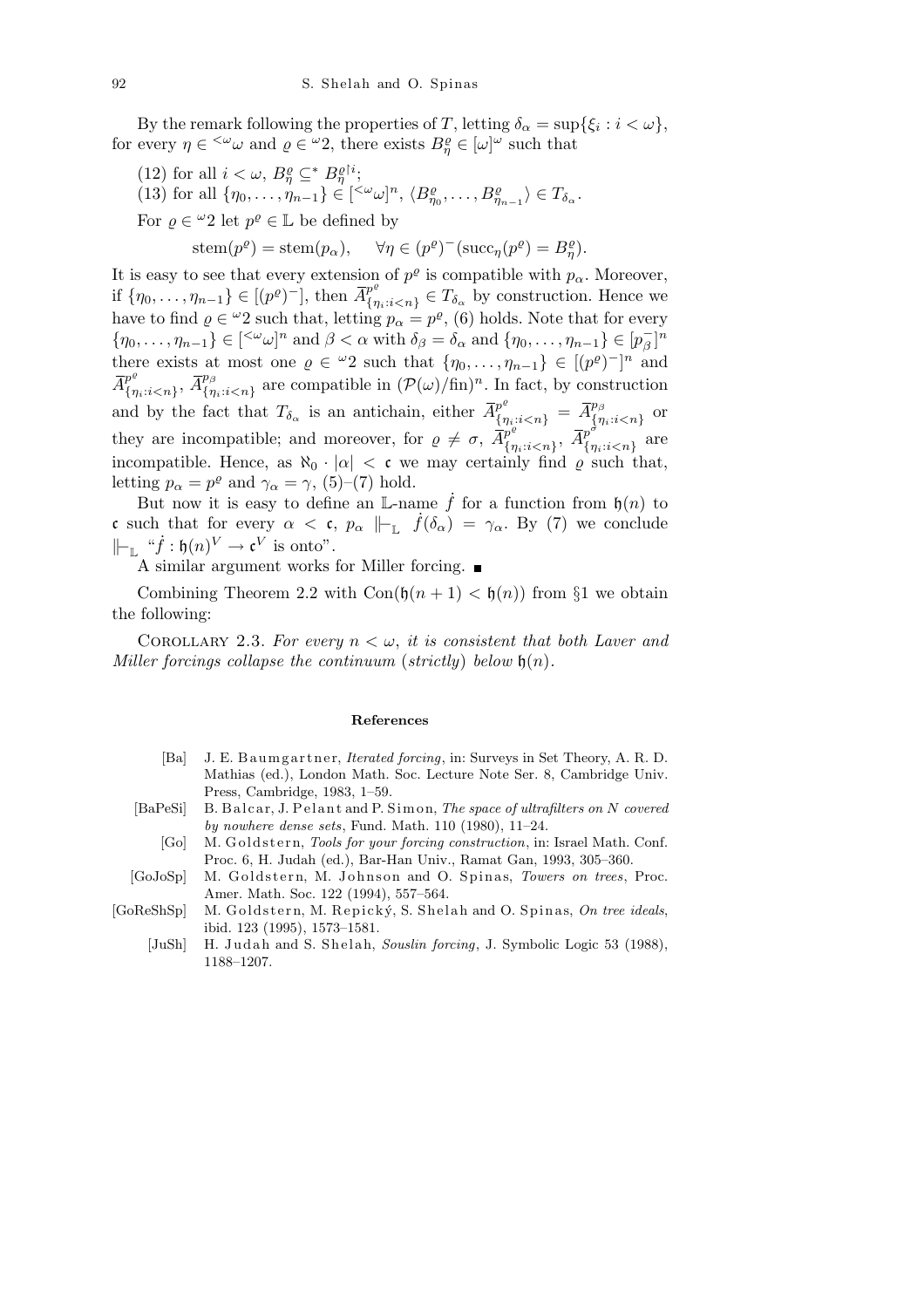By the remark following the properties of *T*, letting  $\delta_{\alpha} = \sup\{\xi_i : i < \omega\},$ for every  $\eta \in \langle \omega \rangle \omega$  and  $\rho \in \langle \omega \rangle$ , there exists  $B_{\eta}^{\rho} \in [\omega]^{\omega}$  such that

- (12) for all  $i < \omega$ ,  $B_{\eta}^{\varrho} \subseteq^* B_{\eta}^{\varrho}$ <sup>*i*</sup>;
- (13) for all  $\{\eta_0,\ldots,\eta_{n-1}\}\in[\langle\omega\omega]^n,\langle B_{\eta_0}^{\varrho},\ldots,B_{\eta_{n-1}}^{\varrho}\rangle\in T_{\delta_\alpha}.$

For  $\rho \in {}^{\omega}2$  let  $p^{\rho} \in \mathbb{L}$  be defined by

$$
stem(p^{\varrho})=stem(p_{\alpha}),\quad \forall \eta\in (p^{\varrho})^{-}(\mathrm{succ}_{\eta}(p^{\varrho})=B_{\eta}^{\varrho}).
$$

It is easy to see that every extension of  $p^{\varrho}$  is compatible with  $p_{\alpha}$ . Moreover, if  $\{\eta_0, \ldots, \eta_{n-1}\} \in [(p^{\varrho})^{-}]$ , then  $\overline{A}_{\{n\}}^{p^{\varrho}}$  ${p^* \choose {q_i : i < n}} \in T_{\delta_\alpha}$  by construction. Hence we have to find  $\varrho \in \omega_2$  such that, letting  $p_\alpha = p^\varrho$ , (6) holds. Note that for every  $\{\eta_0, \ldots, \eta_{n-1}\} \in [\ll^{\omega} \omega]^n$  and  $\beta < \alpha$  with  $\delta_{\beta} = \delta_{\alpha}$  and  $\{\eta_0, \ldots, \eta_{n-1}\} \in [p_{\beta}^{-}]^n$ there exists at most one  $\rho \in {}^{\omega}2$  such that  $\{\eta_0, \ldots, \eta_{n-1}\} \in [({p}^{\rho})^{-}]^n$  and  $\overline{A}^{p^e}_{f_m}$  $\{ {\eta}^e \atop {\{\eta}}_i: i < n \}$ ,  $\overline{A}^{p_{\beta}}_{\{\eta}$  $\{n_i : i < n\}$  are compatible in  $(\mathcal{P}(\omega)/\text{fin})^n$ . In fact, by construction and by the fact that  $T_{\delta_{\alpha}}$  is an antichain, either  $\overline{A}^{p^e}_{\{\eta_i : i \leq n\}} = \overline{A}^{p_\beta}_{\{\eta_i : i \leq n\}}$  $\frac{p_{\beta}}{\{\eta_i:i\text{<}n\}}$  or they are incompatible; and moreover, for  $\rho \neq \sigma$ ,  $\overline{A}_{f_{\tau}}^{p_e}$  $\frac{p^e}{\{\eta_i : i < n\}}, \; \overline{A}^{p^{\hat{\sigma}}}_{\{\eta\}}$  $\frac{p}{\{\eta_i : i < n\}}$  are incompatible. Hence, as  $\aleph_0 \cdot |\alpha| < c$  we may certainly find  $\varrho$  such that, letting  $p_{\alpha} = p^{\varrho}$  and  $\gamma_{\alpha} = \gamma$ , (5)–(7) hold.

But now it is easy to define an L-name  $\dot{f}$  for a function from  $\mathfrak{h}(n)$  to c such that for every  $\alpha < c$ ,  $p_{\alpha} \Vdash_{\mathbb{L}} f(\delta_{\alpha}) = \gamma_{\alpha}$ . By (7) we conclude  $\|\vdash_{\mathbb{L}} \, \text{``}\dot{f} : \mathfrak{h}(n)^{V} \to \mathfrak{c}^{V} \text{ is onto''}.$ 

A similar argument works for Miller forcing.

Combining Theorem 2.2 with  $Con(\mathfrak{h}(n+1) < \mathfrak{h}(n))$  from §1 we obtain the following:

COROLLARY 2.3. For every  $n < \omega$ , *it is consistent that both Laver and Miller forcings collapse the continuum* (*strictly*) *below* h(*n*)*.*

## **References**

- [Ba] J. E. B a umg artner, *Iterated forcing*, in: Surveys in Set Theory, A. R. D. Mathias (ed.), London Math. Soc. Lecture Note Ser. 8, Cambridge Univ. Press, Cambridge, 1983, 1–59.
- [BaPeSi] B. Balcar, J. Pelant and P. Simon, *The space of ultrafilters on N covered by nowhere dense sets*, Fund. Math. 110 (1980), 11–24.
	- [Go] M. Goldstern, *Tools for your forcing construction*, in: Israel Math. Conf. Proc. 6, H. Judah (ed.), Bar-Han Univ., Ramat Gan, 1993, 305–360.
- [GoJoSp] M. Goldstern, M. Johnson and O. Spinas, *Towers on trees*, Proc. Amer. Math. Soc. 122 (1994), 557–564.
- [GoReShSp] M. Goldstern, M. Repický, S. Shelah and O. Spinas, *On tree ideals*, ibid. 123 (1995), 1573–1581.
	- [JuSh] H. Judah and S. Shelah, *Souslin forcing*, J. Symbolic Logic 53 (1988), 1188–1207.